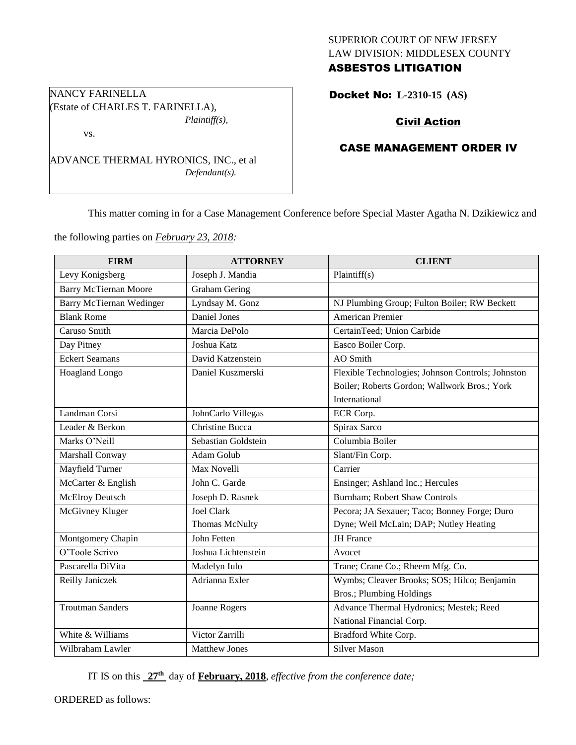# SUPERIOR COURT OF NEW JERSEY LAW DIVISION: MIDDLESEX COUNTY ASBESTOS LITIGATION

Docket No: **L-2310-15 (AS)** 

# Civil Action

## CASE MANAGEMENT ORDER IV

This matter coming in for a Case Management Conference before Special Master Agatha N. Dzikiewicz and

the following parties on *February 23, 2018:*

| <b>FIRM</b>                     | <b>ATTORNEY</b>        | <b>CLIENT</b>                                     |  |
|---------------------------------|------------------------|---------------------------------------------------|--|
| Levy Konigsberg                 | Joseph J. Mandia       | Plaintiff(s)                                      |  |
| <b>Barry McTiernan Moore</b>    | <b>Graham Gering</b>   |                                                   |  |
| <b>Barry McTiernan Wedinger</b> | Lyndsay M. Gonz        | NJ Plumbing Group; Fulton Boiler; RW Beckett      |  |
| <b>Blank Rome</b>               | Daniel Jones           | American Premier                                  |  |
| Caruso Smith                    | Marcia DePolo          | CertainTeed; Union Carbide                        |  |
| Day Pitney                      | Joshua Katz            | Easco Boiler Corp.                                |  |
| <b>Eckert Seamans</b>           | David Katzenstein      | AO Smith                                          |  |
| Hoagland Longo                  | Daniel Kuszmerski      | Flexible Technologies; Johnson Controls; Johnston |  |
|                                 |                        | Boiler; Roberts Gordon; Wallwork Bros.; York      |  |
|                                 |                        | International                                     |  |
| Landman Corsi                   | JohnCarlo Villegas     | ECR Corp.                                         |  |
| Leader & Berkon                 | <b>Christine Bucca</b> | Spirax Sarco                                      |  |
| Marks O'Neill                   | Sebastian Goldstein    | Columbia Boiler                                   |  |
| Marshall Conway                 | Adam Golub             | Slant/Fin Corp.                                   |  |
| Mayfield Turner                 | Max Novelli            | Carrier                                           |  |
| McCarter & English              | John C. Garde          | Ensinger; Ashland Inc.; Hercules                  |  |
| <b>McElroy Deutsch</b>          | Joseph D. Rasnek       | Burnham; Robert Shaw Controls                     |  |
| McGivney Kluger                 | <b>Joel Clark</b>      | Pecora; JA Sexauer; Taco; Bonney Forge; Duro      |  |
|                                 | Thomas McNulty         | Dyne; Weil McLain; DAP; Nutley Heating            |  |
| Montgomery Chapin               | John Fetten            | <b>JH</b> France                                  |  |
| O'Toole Scrivo                  | Joshua Lichtenstein    | Avocet                                            |  |
| Pascarella DiVita               | Madelyn Iulo           | Trane; Crane Co.; Rheem Mfg. Co.                  |  |
| Reilly Janiczek                 | Adrianna Exler         | Wymbs; Cleaver Brooks; SOS; Hilco; Benjamin       |  |
|                                 |                        | <b>Bros.; Plumbing Holdings</b>                   |  |
| <b>Troutman Sanders</b>         | Joanne Rogers          | Advance Thermal Hydronics; Mestek; Reed           |  |
|                                 |                        | National Financial Corp.                          |  |
| White & Williams                | Victor Zarrilli        | Bradford White Corp.                              |  |
| Wilbraham Lawler                | <b>Matthew Jones</b>   | <b>Silver Mason</b>                               |  |

IT IS on this **27th** day of **February, 2018**, *effective from the conference date;*

ORDERED as follows:

NANCY FARINELLA (Estate of CHARLES T. FARINELLA), *Plaintiff(s),*

vs.

ADVANCE THERMAL HYRONICS, INC., et al *Defendant(s).*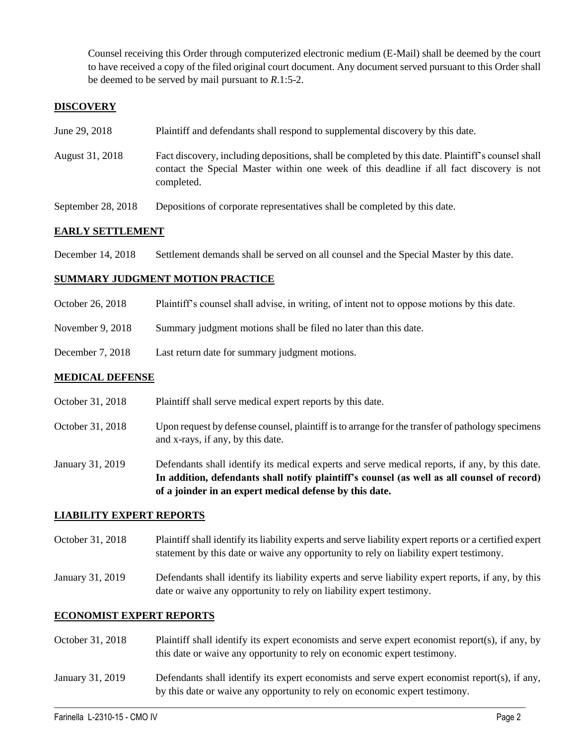Counsel receiving this Order through computerized electronic medium (E-Mail) shall be deemed by the court to have received a copy of the filed original court document. Any document served pursuant to this Order shall be deemed to be served by mail pursuant to *R*.1:5-2.

## **DISCOVERY**

| June 29, 2018 | Plaintiff and defendants shall respond to supplemental discovery by this date. |  |
|---------------|--------------------------------------------------------------------------------|--|
|               |                                                                                |  |

- August 31, 2018 Fact discovery, including depositions, shall be completed by this date. Plaintiff's counsel shall contact the Special Master within one week of this deadline if all fact discovery is not completed.
- September 28, 2018 Depositions of corporate representatives shall be completed by this date.

## **EARLY SETTLEMENT**

December 14, 2018 Settlement demands shall be served on all counsel and the Special Master by this date.

### **SUMMARY JUDGMENT MOTION PRACTICE**

- October 26, 2018 Plaintiff's counsel shall advise, in writing, of intent not to oppose motions by this date.
- November 9, 2018 Summary judgment motions shall be filed no later than this date.
- December 7, 2018 Last return date for summary judgment motions.

#### **MEDICAL DEFENSE**

- October 31, 2018 Plaintiff shall serve medical expert reports by this date.
- October 31, 2018 Upon request by defense counsel, plaintiff is to arrange for the transfer of pathology specimens and x-rays, if any, by this date.

January 31, 2019 Defendants shall identify its medical experts and serve medical reports, if any, by this date. **In addition, defendants shall notify plaintiff's counsel (as well as all counsel of record) of a joinder in an expert medical defense by this date.**

#### **LIABILITY EXPERT REPORTS**

- October 31, 2018 Plaintiff shall identify its liability experts and serve liability expert reports or a certified expert statement by this date or waive any opportunity to rely on liability expert testimony.
- January 31, 2019 Defendants shall identify its liability experts and serve liability expert reports, if any, by this date or waive any opportunity to rely on liability expert testimony.

#### **ECONOMIST EXPERT REPORTS**

- October 31, 2018 Plaintiff shall identify its expert economists and serve expert economist report(s), if any, by this date or waive any opportunity to rely on economic expert testimony.
- January 31, 2019 Defendants shall identify its expert economists and serve expert economist report(s), if any, by this date or waive any opportunity to rely on economic expert testimony.

 $\_$  ,  $\_$  ,  $\_$  ,  $\_$  ,  $\_$  ,  $\_$  ,  $\_$  ,  $\_$  ,  $\_$  ,  $\_$  ,  $\_$  ,  $\_$  ,  $\_$  ,  $\_$  ,  $\_$  ,  $\_$  ,  $\_$  ,  $\_$  ,  $\_$  ,  $\_$  ,  $\_$  ,  $\_$  ,  $\_$  ,  $\_$  ,  $\_$  ,  $\_$  ,  $\_$  ,  $\_$  ,  $\_$  ,  $\_$  ,  $\_$  ,  $\_$  ,  $\_$  ,  $\_$  ,  $\_$  ,  $\_$  ,  $\_$  ,